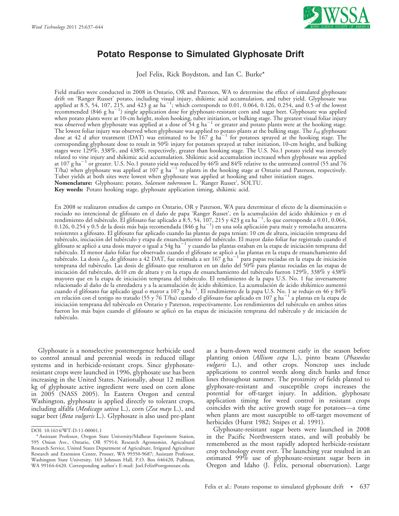

# Potato Response to Simulated Glyphosate Drift

Joel Felix, Rick Boydston, and Ian C. Burke\*

Field studies were conducted in 2008 in Ontario, OR and Paterson, WA to determine the effect of simulated glyphosate drift on 'Ranger Russet' potato, including visual injury, shikimic acid accumulation, and tuber yield. Glyphosate was applied at 8.5, 54, 107, 215, and 423 g ae ha<sup>-1</sup>; which corresponds to 0.01, 0.064, 0.126, 0.254, and 0.5 of the lowest  $r_{\rm recommended}^{11}$  (846 g ha<sup>-1</sup>) single application dose for glyphosate-resistant corn and sugar beet. Glyphosate was applied when potato plants were at 10-cm height, stolon hooking, tuber initiation, or bulking stage. The greatest visual foliar injury was observed when glyphosate was applied at a dose of  $54$  g ha<sup> $-1$ </sup> or greater and potato plants were at the hooking stage. The lowest foliar injury was observed when glyphosate was applied to potato plants at the bulking stage. The  $I_{50}$  glyphosate<br>dose at 42 d after treatment (DAT) was estimated to be 167 g ha<sup>-1</sup> for potatoes sprayed at t corresponding glyphosate dose to result in 50% injury for potatoes sprayed at tuber initiation, 10-cm height, and bulking stages were 129%, 338%, and 438%, respectively, greater than hooking stage. The U.S. No.1 potato yield was inversely related to vine injury and shikimic acid accumulation. Shikimic acid accumulation increased when glyphosate was applied at 107 g ha<sup>-1</sup> or greater. U.S. No.1 potato yield was reduced by  $46\%$  and  $84\%$  relative to the untreated control (55 and 76 T/ha) when glyphosate was applied at  $107$  g ha<sup>-1</sup> to plants in the hooking stage at Ontario and Paterson, respectively. Tuber yields at both sites were lowest when glyphosate was applied at hooking and tuber initiation stages. Nomenclature: Glyphosate; potato, Solanum tuberosum L. 'Ranger Russet', SOLTU.

Key words: Potato hooking stage, glyphosate application timing, shikimic acid.

En 2008 se realizaron estudios de campo en Ontario, OR y Paterson, WA para determinar el efecto de la diseminación o rociado no intencional de glifosato en el daño de papa 'Ranger Russet', en la acumulación del ácido shikímico y en el<br>rendimiento del tubérculo. El glifosato fue aplicado a 8.5, 54, 107, 215 y 423 g ea ha<sup>–1</sup>, lo que corre resistentes a glifosato. El glifosato fue aplicado cuando las plantas de papa tenían: 10 cm de altura, iniciación temprana del tubérculo, iniciación del tubérculo y etapa de ensanchamiento del tubérculo. El mayor daño foliar fue registrado cuando el glifosato se aplicó a una dosis mayor o igual a 54g ha<sup>-1</sup> y cuando las plantas estaban en la etapa de iniciación temprana del tubérculo. El menor daño foliar fue observado cuando el glifosato se aplicó a las plantas en la etapa de ensanchamiento del tubérculo. La dosis  $I_{50}$  de glifosato a 42 DAT, fue estimada a ser  $167 g h a^{-1}$  para papas rociadas en la etapa de iniciación temprana del tubérculo. Las dosis de glifosato que resultaron en un daño del 50% para plantas rociadas en las etapas de iniciación del tubérculo, de10 cm de altura y en la etapa de ensanchamiento del tubérculo fueron 129%, 338% y 438% mayores que en la etapa de iniciación temprana del tubérculo. El rendimiento de la papa U.S. No. 1 fue inversamente relacionado al daño de la enredadera y a la acumulación de ácido shikímico. La acumulación de ácido shikímico aumentó<br>cuando el glifosato fue aplicado igual o mayor a 107 g ha<sup>–1</sup>. El rendimiento de la papa U.S. No. 1 se r iniciación temprana del tubérculo en Ontario y Paterson, respectivamente. Los rendimientos del tubérculo en ambos sitios fueron los más bajos cuando el glifosato se aplicó en las etapas de iniciación temprana del tubérculo y de iniciación de tubérculo.

Glyphosate is a nonselective postemergence herbicide used to control annual and perennial weeds in reduced tillage systems and in herbicide-resistant crops. Since glyphosateresistant crops were launched in 1996, glyphosate use has been increasing in the United States. Nationally, about 12 million kg of glyphosate active ingredient were used on corn alone in 2005 (NASS 2005). In Eastern Oregon and central Washington, glyphosate is applied directly to tolerant crops, including alfalfa (Medicago sativa L.), corn (Zea mays L.), and sugar beet (Beta vulgaris L.). Glyphosate is also used pre-plant as a burn-down weed treatment early in the season before planting onion (*Allium cepa* L.), pinto beans (*Phaseolus* vulgaris L.), and other crops. Noncrop uses include applications to control weeds along ditch banks and fence lines throughout summer. The proximity of fields planted to glyphosate-resistant and -susceptible crops increases the potential for off-target injury. In addition, glyphosate application timing for weed control in resistant crops coincides with the active growth stage for potatoes—a time when plants are most susceptible to off-target movement of herbicides (Hurst 1982; Snipes et al. 1991).

Glyphosate-resistant sugar beets were launched in 2008 in the Pacific Northwestern states, and will probably be remembered as the most rapidly adopted herbicide-resistant crop technology event ever. The launching year resulted in an estimated 99% use of glyphosate-resistant sugar beets in Oregon and Idaho (J. Felix, personal observation). Large

DOI: 10.1614/WT-D-11-00001.1

<sup>\*</sup> Assistant Professor, Oregon State University/Malheur Experiment Station, 595 Onion Ave., Ontario, OR 97914; Research Agronomist, Agricultural Research Service, United States Department of Agriculture, Irrigated Agriculture Research and Extension Center, Prosser, WA 99350-9687; Assistant Professor, Washington State University, 163 Johnson Hall, P.O. Box 646420, Pullman, WA 99164-6420. Corresponding author's E-mail: Joel.Felix@oregonstate.edu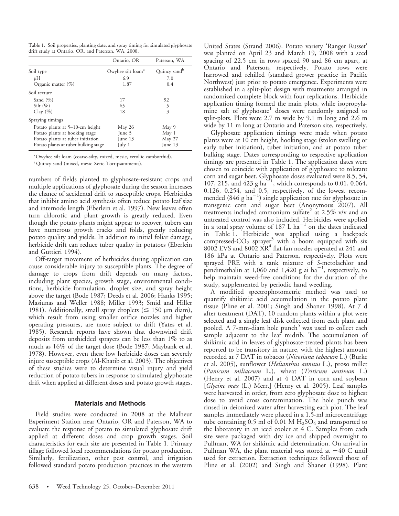Table 1. Soil properties, planting date, and spray timing for simulated glyphosate drift study at Ontario, OR, and Paterson, WA, 2008.

|                                      | Ontario, OR                   | Paterson, WA             |  |
|--------------------------------------|-------------------------------|--------------------------|--|
| Soil type                            | Owyhee silt loam <sup>a</sup> | Quincy sand <sup>b</sup> |  |
| pH                                   | 6.9                           | 7.0                      |  |
| Organic matter $(\% )$               | 1.87                          | 0.4                      |  |
| Soil texture                         |                               |                          |  |
| Sand $(\%)$                          | 17                            | 92                       |  |
| Silt $(\%)$                          | 65                            | 5                        |  |
| Clay $(\%)$                          | 18                            | 3                        |  |
| Spraying timings                     |                               |                          |  |
| Potato plants at 5–10-cm height      | May 26                        | May 9                    |  |
| Potato plants at hooking stage       | June 5                        | May 1                    |  |
| Potato plants at tuber initiation    | June 13                       | May 27                   |  |
| Potato plants at tuber bulking stage | July 1                        | June 13                  |  |

aOwyhee silt loam (coarse-silty, mixed, mesic, xerollic camborthid).

<sup>b</sup> Quincy sand (mixed, mesic Xeric Torripsamments).

numbers of fields planted to glyphosate-resistant crops and multiple applications of glyphosate during the season increases the chance of accidental drift to susceptible crops. Herbicides that inhibit amino acid synthesis often reduce potato leaf size and internode length (Eberlein et al. 1997). New leaves often turn chlorotic and plant growth is greatly reduced. Even though the potato plants might appear to recover, tubers can have numerous growth cracks and folds, greatly reducing potato quality and yields. In addition to initial foliar damage, herbicide drift can reduce tuber quality in potatoes (Eberlein and Guttieri 1994).

Off-target movement of herbicides during application can cause considerable injury to susceptible plants. The degree of damage to crops from drift depends on many factors, including plant species, growth stage, environmental conditions, herbicide formulation, droplet size, and spray height above the target (Bode 1987; Deeds et al. 2006; Hanks 1995; Masiunas and Weller 1988; Miller 1993; Smid and Hiller 1981). Additionally, small spray droplets ( $\leq$  150 µm diam), which result from using smaller orifice nozzles and higher operating pressures, are more subject to drift (Yates et al. 1985). Research reports have shown that downwind drift deposits from unshielded sprayers can be less than 1% to as much as 16% of the target dose (Bode 1987; Maybank et al. 1978). However, even these low herbicide doses can severely injure susceptible crops (Al-Khatib et al. 2003). The objectives of these studies were to determine visual injury and yield reduction of potato tubers in response to simulated glyphosate drift when applied at different doses and potato growth stages.

# Materials and Methods

Field studies were conducted in 2008 at the Malheur Experiment Station near Ontario, OR and Paterson, WA to evaluate the response of potato to simulated glyphosate drift applied at different doses and crop growth stages. Soil characteristics for each site are presented in Table 1. Primary tillage followed local recommendations for potato production. Similarly, fertilization, other pest control, and irrigation followed standard potato production practices in the western United States (Strand 2006). Potato variety 'Ranger Russet' was planted on April 23 and March 19, 2008 with a seed spacing of 22.5 cm in rows spaced 90 and 86 cm apart, at Ontario and Paterson, respectively. Potato rows were harrowed and rehilled (standard grower practice in Pacific Northwest) just prior to potato emergence. Experiments were established in a split-plot design with treatments arranged in randomized complete block with four replications. Herbicide application timing formed the main plots, while isopropylamine salt of glyphosate<sup>1</sup> doses were randomly assigned to split-plots. Plots were 2.7 m wide by 9.1 m long and 2.6 m wide by 11 m long at Ontario and Paterson site, respectively.

Glyphosate application timings were made when potato plants were at 10 cm height, hooking stage (stolon swelling or early tuber initiation), tuber initiation, and at potato tuber bulking stage. Dates corresponding to respective application timings are presented in Table 1. The application dates were chosen to coincide with application of glyphosate to tolerant corn and sugar beet. Glyphosate doses evaluated were 8.5, 54, 107, 215, and 423 g  $ha^{-1}$ , which corresponds to 0.01, 0.064, 0.126, 0.254, and 0.5, respectively, of the lowest recommended  $(846 \text{ g ha}^{-1})$  single application rate for glyphosate in transgenic corn and sugar beet (Anonymous 2007). All treatments included ammonium sulfate<sup>2</sup> at 2.5% v/v and an untreated control was also included. Herbicides were applied in a total spray volume of  $187 \text{ L ha}^{-1}$  on the dates indicated in Table 1. Herbicide was applied using a backpack compressed- $CO<sub>2</sub>$  sprayer<sup>3</sup> with a boom equipped with six 8002 EVS and 8002 XR<sup>4</sup> flat-fan nozzles operated at 241 and 186 kPa at Ontario and Paterson, respectively. Plots were sprayed PRE with a tank mixture of S-metolachlor and pendimethalin at 1,060 and 1,420 g ai  $ha^{-1}$ , respectively, to help maintain weed-free conditions for the duration of the study, supplemented by periodic hand weeding.

A modified spectrophotometric method was used to quantify shikimic acid accumulation in the potato plant tissue (Pline et al. 2001; Singh and Shaner 1998). At 7 d after treatment (DAT), 10 random plants within a plot were selected and a single leaf disk collected from each plant and pooled. A 7-mm-diam hole punch<sup>5</sup> was used to collect each sample adjacent to the leaf midrib. The accumulation of shikimic acid in leaves of glyphosate-treated plants has been reported to be transitory in nature, with the highest amount recorded at 7 DAT in tobacco (Nicotiana tabacum L.) (Burke et al. 2005), sunflower (*Helianthus annuus* L.), proso millet (Panicum miliaceum L.), wheat (Triticum aestivum L.) (Henry et al. 2007) and at 4 DAT in corn and soybean [Glycine max (L.) Merr.] (Henry et al. 2005). Leaf samples were harvested in order, from zero glyphosate dose to highest dose to avoid cross contamination. The hole punch was rinsed in deionized water after harvesting each plot. The leaf samples immediately were placed in a 1.5-ml microcentrifuge tube containing  $0.5$  ml of  $0.01$  M  $H<sub>2</sub>SO<sub>4</sub>$  and transported to the laboratory in an iced cooler at 4 C. Samples from each site were packaged with dry ice and shipped overnight to Pullman, WA for shikimic acid determination. On arrival in Pullman WA, the plant material was stored at  $-40$  C until used for extraction. Extraction techniques followed those of Pline et al. (2002) and Singh and Shaner (1998). Plant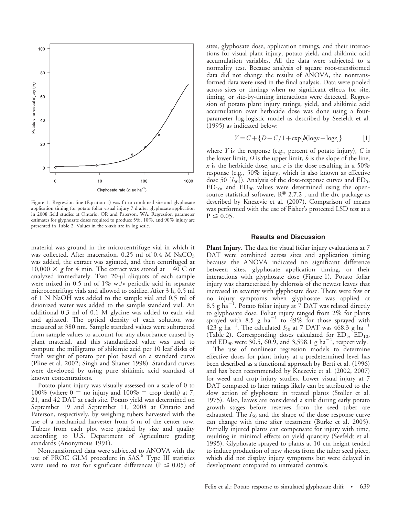

Figure 1. Regression line (Equation 1) was fit to combined site and glyphosate application timing for potato foliar visual injury 7 d after glyphosate application in 2008 field studies at Ontario, OR and Paterson, WA. Regression parameter estimates for glyphosate doses required to produce 5%, 10%, and 90% injury are presented in Table 2. Values in the x-axis are in log scale.

material was ground in the microcentrifuge vial in which it was collected. After maceration, 0.25 ml of 0.4 M  $NaCO<sub>3</sub>$ was added, the extract was agitated, and then centrifuged at 10,000  $\times$  g for 4 min. The extract was stored at  $-40$  C or analyzed immediately. Two 20-µl aliquots of each sample were mixed in 0.5 ml of 1% wt/v periodic acid in separate microcentrifuge vials and allowed to oxidize. After 3 h, 0.5 ml of 1 N NaOH was added to the sample vial and 0.5 ml of deionized water was added to the sample standard vial. An additional 0.3 ml of 0.1 M glycine was added to each vial and agitated. The optical density of each solution was measured at 380 nm. Sample standard values were subtracted from sample values to account for any absorbance caused by plant material, and this standardized value was used to compute the milligrams of shikimic acid per 10 leaf disks of fresh weight of potato per plot based on a standard curve (Pline et al. 2002; Singh and Shaner 1998). Standard curves were developed by using pure shikimic acid standard of known concentrations.

Potato plant injury was visually assessed on a scale of 0 to 100% (where  $0 =$  no injury and 100% = crop death) at 7, 21, and 42 DAT at each site. Potato yield was determined on September 19 and September 11, 2008 at Ontario and Paterson, respectively, by weighing tubers harvested with the use of a mechanical harvester from 6 m of the center row. Tubers from each plot were graded by size and quality according to U.S. Department of Agriculture grading standards (Anonymous 1991).

Nontransformed data were subjected to ANOVA with the use of PROC GLM procedure in SAS.<sup>6</sup> Type III statistics were used to test for significant differences ( $P \le 0.05$ ) of sites, glyphosate dose, application timings, and their interactions for visual plant injury, potato yield, and shikimic acid accumulation variables. All the data were subjected to a normality test. Because analysis of square root-transformed data did not change the results of ANOVA, the nontransformed data were used in the final analysis. Data were pooled across sites or timings when no significant effects for site, timing, or site-by-timing interactions were detected. Regression of potato plant injury ratings, yield, and shikimic acid accumulation over herbicide dose was done using a fourparameter log-logistic model as described by Seefeldt et al. (1995) as indicated below:

$$
Y = C + \{D - C/1 + \exp[b(\log x - \log e]\}\
$$
 [1]

where  $Y$  is the response (e.g., percent of potato injury),  $C$  is the lower limit,  $D$  is the upper limit,  $b$  is the slope of the line,  $x$  is the herbicide dose, and  $e$  is the dose resulting in a 50% response (e.g., 50% injury, which is also known as effective dose 50  $[I_{50}]$ ). Analysis of the dose-response curves and  $ED_5$ ,  $ED_{10}$ , and  $ED_{90}$  values were determined using the opensource statistical software,  $R^{\textcircled{2}}$  2.7.2, and the drc package as described by Knezevic et al. (2007). Comparison of means was performed with the use of Fisher's protected LSD test at a  $P \le 0.05$ .

## Results and Discussion

Plant Injury. The data for visual foliar injury evaluations at 7 DAT were combined across sites and application timing because the ANOVA indicated no significant difference between sites, glyphosate application timing, or their interactions with glyphosate dose (Figure 1). Potato foliar injury was characterized by chlorosis of the newest leaves that increased in severity with glyphosate dose. There were few or no injury symptoms when glyphosate was applied at 8.5 g ha<sup>-1</sup>. Potato foliar injury at  $\frac{87}{1}$  DAT was related directly to glyphosate dose. Foliar injury ranged from 2% for plants sprayed with 8.5 g  $ha^{-1}$  to 49% for those sprayed with  $423$  g ha<sup>-1</sup>. The calculated  $I_{50}$  at 7 DAT was  $468.3$  g ha<sup>-1</sup> (Table 2). Corresponding doses calculated for  $ED_5$ ,  $ED_{10}$ , and  $ED_{90}$  were 30.5, 60.9, and 3,598.1 g ha<sup>-1</sup>, respectively.

The use of nonlinear regression models to determine effective doses for plant injury at a predetermined level has been described as a functional approach by Berti et al. (1996) and has been recommended by Knezevic et al. (2002, 2007) for weed and crop injury studies. Lower visual injury at 7 DAT compared to later ratings likely can be attributed to the slow action of glyphosate in treated plants (Stoller et al. 1975). Also, leaves are considered a sink during early potato growth stages before reserves from the seed tuber are exhausted. The  $I_{50}$  and the shape of the dose response curve can change with time after treatment (Burke et al. 2005). Partially injured plants can compensate for injury with time, resulting in minimal effects on yield quantity (Seefeldt et al. 1995). Glyphosate sprayed to plants at 10 cm height tended to induce production of new shoots from the tuber seed piece, which did not display injury symptoms but were delayed in development compared to untreated controls.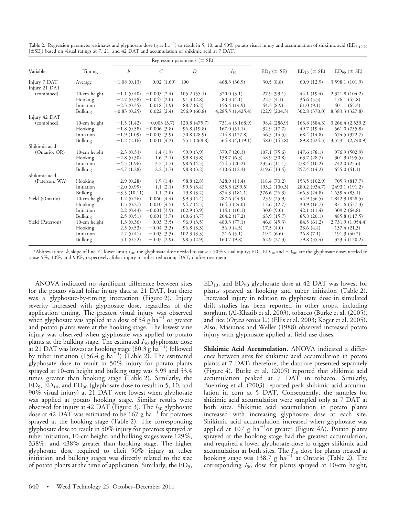|                               | Timing       | Regression parameters $(\pm$ SE) |                   |               |                  |                 |                    |                    |
|-------------------------------|--------------|----------------------------------|-------------------|---------------|------------------|-----------------|--------------------|--------------------|
| Variable                      |              | b                                | $\mathcal{C}_{0}$ | D             | $I_{50}$         | $ED_5 (\pm SE)$ | $ED_{10} (\pm SE)$ | $ED_{90} (\pm SE)$ |
| Injury 7 DAT<br>Injury 21 DAT | Average      | $-1.08(0.13)$                    | 0.02(1.69)        | 100           | 468.3(36.9)      | 30.5(8.8)       | 60.9(12.9)         | 3,598.1 (101.9)    |
| (combined)                    | 10-cm height | $-1.1(0.40)$                     | $-0.005(2.4)$     | 105.2(55.1)   | 320.0(3.1)       | 27.9(99.1)      | 44.1(19.4)         | 2,321.8 (104.2)    |
|                               | Hooking      | $-2.7(0.38)$                     | $-0.045(2.0)$     | 91.3(2.8)     | 80.3(4.1)        | 22.5(4.1)       | 36.6(5.3)          | 176.1(45.8)        |
|                               | Initiation   | $-2.3(0.35)$                     | 0.018(1.9)        | 88.7 (6.2)    | 156.4 (14.9)     | 44.3(8.9)       | 61.0(9.1)          | 401.1(65.3)        |
|                               | Bulking      | $-0.83(0.25)$                    | 0.022(2.4)        | 296.9(60.8)   | 4,285.5(1,425.4) | 122.9(204.3)    | 302.8 (370.0)      | 8,383.3 (327.8)    |
| Injury 42 DAT                 |              |                                  |                   |               |                  |                 |                    |                    |
| (combined)                    | 10-cm height | $-1.5(1.42)$                     | $-0.003(3.7)$     | 120.8 (475.7) | 731.4 (3,168.9)  | 98.4 (286.9)    | 163.8 (584.3)      | 3,266.4 (2,539.2)  |
|                               | Hooking      | $-1.8(0.58)$                     | $-0.006(3.8)$     | 96.8(19.8)    | 167.0(51.1)      | 32.9 (17.7)     | 49.7(19.4)         | 561.0 (755.8)      |
|                               | Initiation   | $-1.9(1.09)$                     | $-0.003(3.9)$     | 70.8(28.9)    | 214.8 (127.8)    | 46.3(14.5)      | 68.4 (14.8)        | 674.5(372.7)       |
|                               | Bulking      | $-1.2(2.16)$                     | 0.001(4.2)        | 55.1 (268.8)  | 564.8 (4,119.1)  | 48.0(143.8)     | 89.8 (324.3)       | 3,553.1 (2,740.9)  |
| Shikimic acid                 |              |                                  |                   |               |                  |                 |                    |                    |
| (Ontario, OR)                 | 10-cm height | $-2.3(0.33)$                     | 1.4(1.9)          | 99.9 (3.9)    | 379.7 (20.3)     | 107.1(75.6)     | 147.6(78.1)        | 976.9 (502.9)      |
|                               | Hooking      | $-2.8(0.30)$                     | 1.6(2.1)          | 99.8 (3.8)    | 138.7(6.3)       | 48.9(30.8)      | 63.7(28.7)         | 301.9 (195.5)      |
|                               | Initiation   | $-4.5(1.96)$                     | 3.5(1.7)          | 98.6 (4.5)    | 454.5(20.2)      | 235.6(11.1)     | 278.4 (10.2)       | 742.0 (25.6)       |
|                               | Bulking      | $-4.7(1.28)$                     | 2.2(1.7)          | 98.8(3.2)     | 410.6(12.3)      | 219.6 (13.4)    | 257.4 (14.2)       | 655.0(41.1)        |
| Shikimic acid                 |              |                                  |                   |               |                  |                 |                    |                    |
| (Paterson, WA)                | Hooking      | $-2.9(0.28)$                     | 1.9(1.4)          | 98.8(2.8)     | 328.9 (11.4)     | 118.4 (70.2)    | 153.5 (102.9)      | 705.3 (817.7)      |
|                               | Initiation   | $-2.0(0.99)$                     | 1.1(2.1)          | 99.5 (3.4)    | 835.8 (299.5)    | 193.2(100.3)    | 280.2 (934.7)      | 2493.1 (191.2)     |
|                               | Bulking      | $-3.5(10.11)$                    | 1.1(2.0)          | 19.8(3.2)     | 874.3 (181.1)    | 376.6 (26.3)    | 466.3(24.8)        | 1,639.4(83.1)      |
| Yield (Ontario)               | 10-cm height | 1.2(0.26)                        | 0.060(4.4)        | 99.3 (4.4)    | 287.6 (44.9)     | 23.9(25.9)      | 44.9(36.5)         | 1,842.9 (828.5)    |
|                               | Hooking      | 1.3(0.27)                        | 0.010(4.5)        | 94.7(4.5)     | 164.3(24.0)      | 17.6(12.7)      | 30.9(16.7)         | 871.6 (477.3)      |
|                               | Initiation   | 2.2(0.43)                        | $-0.001(3.9)$     | 102.9(3.9)    | 114.1(10.1)      | 30.0(9.0)       | 42.1(11.4)         | 309.2(64.8)        |
|                               | Bulking      | 2.5(0.51)                        | $-0.001(3.7)$     | 100.6(3.7)    | 204.2 (17.2)     | 63.9(15.7)      | 85.8 (20.1)        | 485.8 (117.5)      |
| Yield (Paterson)              | 10-cm height | 1.3(0.36)                        | $-0.03(3.5)$      | 96.9(3.5)     | 480.3(77.1)      | 46.8(45.3)      | 84.5 (61.2)        | 2,731.9 (1,954.4)  |
|                               | Hooking      | 2.5(0.53)                        | $-0.04(3.3)$      | 96.8(3.3)     | 56.9(4.5)        | 17.5(4.0)       | 23.6(4.4)          | 137.4 (21.3)       |
|                               | Initiation   | 2.2(0.41)                        | $-0.03(3.3)$      | 102.3(3.3)    | 71.6(5.1)        | 19.2(6.6)       | 26.8(7.1)          | 191.3(40.2)        |
|                               | Bulking      | 3.1(0.52)                        | $-0.03(2.9)$      | 98.5(2.9)     | 160.7(9.8)       | 62.9(27.3)      | 79.8 (35.4)        | 323.4 (170.2)      |

Table 2. Regression parameter estimates and glyphosate dose (g ae ha $^{-1}$ ) to result in 5, 10, and 90% potato visual injury and accumulation of shikimic acid (ED<sub>5,10,90</sub>  $[±SE]$ ) based on visual ratings at 7, 21, and 42 DAT and accumulation of shikimic acid at 7 DAT.

<sup>a</sup> Abbreviations: b, slope of line; C, lower limit;  $I_{50}$ , the glyphosate dose needed to cause a 50% visual injury; ED<sub>5</sub>, ED<sub>10</sub>, and ED<sub>90</sub>, are the glyphosate doses needed to cause 5%, 10%, and 90%, respectively, foliar injury or tuber reduction; DAT, d after treatment.

ANOVA indicated no significant difference between sites for the potato visual foliar injury data at 21 DAT, but there was a glyphosate-by-timing interaction (Figure 2). Injury severity increased with glyphosate dose, regardless of the application timing. The greatest visual injury was observed when glyphosate was applied at a dose of  $54$  g ha<sup>-1</sup> or greater and potato plants were at the hooking stage. The lowest vine injury was observed when glyphosate was applied to potato plants at the bulking stage. The estimated  $I_{50}$  glyphosate dose at 21 DAT was lowest at hooking stage (80.3  $\mathrm{g\,ha}^{-1}$ ) followed by tuber initiation (156.4 g ha<sup> $\Xi$ 1</sup>) (Table 2). The estimated glyphosate dose to result in 50% injury for potato plants sprayed at 10-cm height and bulking stage was 3.99 and 53.4 times greater than hooking stage (Table 2). Similarly, the  $ED_5$ ,  $ED_{10}$ , and  $ED_{90}$  (glyphosate dose to result in 5, 10, and 90% visual injury) at 21 DAT were lowest when glyphosate was applied at potato hooking stage. Similar results were observed for injury at 42 DAT (Figure 3). The  $I_{50}$  glyphosate dose at 42 DAT was estimated to be 167 g ha $^{-1}$  for potatoes sprayed at the hooking stage (Table 2). The corresponding glyphosate dose to result in 50% injury for potatoes sprayed at tuber initiation, 10-cm height, and bulking stages were 129%, 338%, and 438% greater than hooking stage. The higher glyphosate dose required to elicit 50% injury at tuber initiation and bulking stages was directly related to the size of potato plants at the time of application. Similarly, the  $ED_5$ ,

ED10, and ED90 glyphosate dose at 42 DAT was lowest for plants sprayed at hooking and tuber initiation (Table 2). Increased injury in relation to glyphosate dose in simulated drift studies has been reported in other crops, including sorghum (Al-Khatib et al. 2003), tobacco (Burke et al. (2005), and rice (Oryza sativa L.) (Ellis et al. 2003; Koger et al. 2005). Also, Masiunas and Weller (1988) observed increased potato injury with glyphosate applied at field use doses.

Shikimic Acid Accumulation. ANOVA indicated a difference between sites for shikimic acid accumulation in potato plants at 7 DAT; therefore, the data are presented separately (Figure 4). Burke et al. (2005) reported that shikimic acid accumulation peaked at 7 DAT in tobacco. Similarly, Buehring et al. (2003) reported peak shikimic acid accumulation in corn at 5 DAT. Consequently, the samples for shikimic acid accumulation were sampled only at 7 DAT at both sites. Shikimic acid accumulation in potato plants increased with increasing glyphosate dose at each site. Shikimic acid accumulation increased when glyphosate was applied at 107 g ha $^{-1}$ or greater (Figure 4A). Potato plants sprayed at the hooking stage had the greatest accumulation, and required a lower glyphosate dose to trigger shikimic acid accumulation at both sites. The  $I_{50}$  dose for plants treated at hooking stage was 138.7 g ha<sup>-1 of</sup> at Ontario (Table 2). The corresponding  $I_{50}$  dose for plants sprayed at 10-cm height,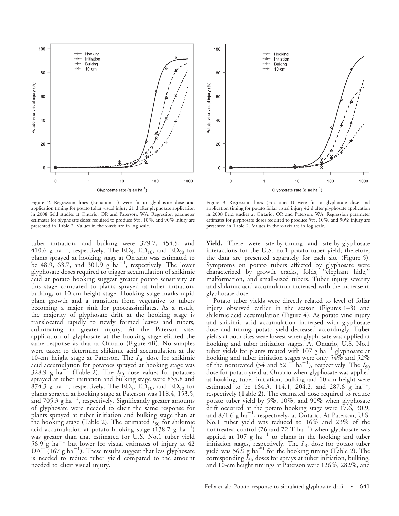

Figure 2. Regression lines (Equation 1) were fit to glyphosate dose and application timing for potato foliar visual injury 21 d after glyphosate application in 2008 field studies at Ontario, OR and Paterson, WA. Regression parameter estimates for glyphosate doses required to produce 5%, 10%, and 90% injury are presented in Table 2. Values in the x-axis are in log scale.

tuber initiation, and bulking were 379.7, 454.5, and 410.6 g ha<sup>-1</sup>, respectively. The ED<sub>5</sub>, ED<sub>10</sub>, and ED<sub>90</sub> for plants sprayed at hooking stage at Ontario was estimated to<br>be 48.9, 63.7, and 301.9 g ha<sup>-1</sup>, respectively. The lower glyphosate doses required to trigger accumulation of shikimic acid at potato hooking suggest greater potato sensitivity at this stage compared to plants sprayed at tuber initiation, bulking, or 10-cm height stage. Hooking stage marks rapid plant growth and a transition from vegetative to tubers becoming a major sink for photoassimilates. As a result, the majority of glyphosate drift at the hooking stage is translocated rapidly to newly formed leaves and tubers, culminating in greater injury. At the Paterson site, application of glyphosate at the hooking stage elicited the same response as that at Ontario (Figure 4B). No samples were taken to determine shikimic acid accumulation at the 10-cm height stage at Paterson. The  $I_{50}$  dose for shikimic acid accumulation for potatoes sprayed at hooking stage was 328.9 g ha<sup>-1</sup> (Table 2). The  $I_{50}$  dose values for potatoes sprayed at tuber initiation and bulking stage were 835.8 and  $874.3$  g ha<sup>-1</sup>, respectively. The ED<sub>5</sub>, ED<sub>10</sub>, and ED<sub>90</sub> for plants sprayed at hooking stage at Paterson was 118.4, 153.5, and  $705.3$  g ha<sup>-1</sup>, respectively. Significantly greater amounts of glyphosate were needed to elicit the same response for plants sprayed at tuber initiation and bulking stage than at the hooking stage (Table 2). The estimated  $I_{50}$  for shikimic acid accumulation at potato hooking stage  $(138.7 \text{ g ha}^{-1})$ was greater than that estimated for U.S. No.1 tuber yield<br>56.9 g ha $^{-1}$  but lower for visual estimates of injury at 42  $\overline{\text{DAT}}$  (167 g ha<sup>-1</sup>). These results suggest that less glyphosate is needed to reduce tuber yield compared to the amount needed to elicit visual injury.



Figure 3. Regression lines (Equation 1) were fit to glyphosate dose and application timing for potato foliar visual injury 42 d after glyphosate application in 2008 field studies at Ontario, OR and Paterson, WA. Regression parameter estimates for glyphosate doses required to produce 5%, 10%, and 90% injury are presented in Table 2. Values in the x-axis are in log scale.

Yield. There were site-by-timing and site-by-glyphosate interactions for the U.S. no.1 potato tuber yield; therefore, the data are presented separately for each site (Figure 5). Symptoms on potato tubers affected by glyphosate were characterized by growth cracks, folds, ''elephant hide,'' malformation, and small-sized tubers. Tuber injury severity and shikimic acid accumulation increased with the increase in glyphosate dose.

Potato tuber yields were directly related to level of foliar injury observed earlier in the season (Figures 1–3) and shikimic acid accumulation (Figure 4). As potato vine injury and shikimic acid accumulation increased with glyphosate dose and timing, potato yield decreased accordingly. Tuber yields at both sites were lowest when glyphosate was applied at hooking and tuber initiation stages. At Ontario, U.S. No.1 tuber yields for plants treated with  $107 \text{ g ha}^{-1}$  glyphosate at hooking and tuber initiation stages were only 54% and 52% of the nontreated (54 and 52 T ha<sup>-1</sup>), respectively. The  $I_{50}$ dose for potato yield at Ontario when glyphosate was applied at hooking, tuber initiation, bulking and 10-cm height were estimated to be 164.3, 114.1, 204.2, and 287.6  $\frac{8}{9}$  ha<sup>-1</sup>, respectively (Table 2). The estimated dose required to reduce potato tuber yield by 5%, 10%, and 90% when glyphosate drift occurred at the potato hooking stage were 17.6, 30.9, and 871.6  $g$  ha<sup>-1</sup>, respectively, at Ontario. At Paterson, U.S. No.1 tuber yield was reduced to 16% and 23% of the nontreated control (76 and 72 T  $ha^{-1}$ ) when glyphosate was applied at  $107 \text{ g}$  ha<sup>-1</sup> to plants in the hooking and tuber initiation stages, respectively. The  $I_{50}$  dose for potato tuber<br>yield was 56.9 g ha<sup>-1</sup> for the hooking timing (Table 2). The corresponding  $I_{50}$  doses for sprays at tuber initiation, bulking, and 10-cm height timings at Paterson were 126%, 282%, and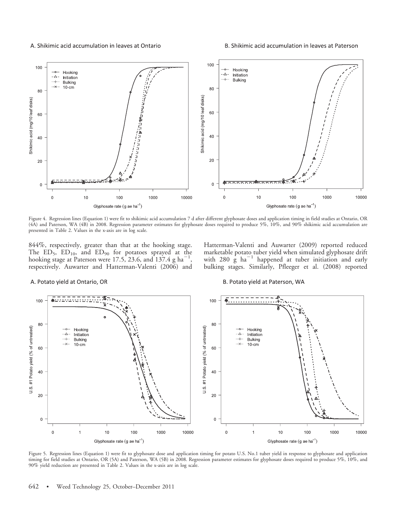A. Shikimic acid accumulation in leaves at Ontario

B. Shikimic acid accumulation in leaves at Paterson



Figure 4. Regression lines (Equation 1) were fit to shikimic acid accumulation 7 d after different glyphosate doses and application timing in field studies at Ontario, OR (4A) and Paterson, WA (4B) in 2008. Regression parameter estimates for glyphosate doses required to produce 5%, 10%, and 90% shikimic acid accumulation are presented in Table 2. Values in the x-axis are in log scale.

844%, respectively, greater than that at the hooking stage. The ED<sub>5</sub>, ED<sub>10</sub>, and ED<sub>90</sub> for potatoes sprayed at the hooking stage at Paterson were 17.5, 23.6, and 137.4 g ha<sup>-1</sup>, respectively. Auwarter and Hatterman-Valenti (2006) and Hatterman-Valenti and Auwarter (2009) reported reduced marketable potato tuber yield when simulated glyphosate drift with  $280 \text{ g}$  ha<sup> $-1$ </sup> happened at tuber initiation and early bulking stages. Similarly, Pfleeger et al. (2008) reported

#### A. Potato yield at Ontario, OR

#### B. Potato yield at Paterson, WA



Figure 5. Regression lines (Equation 1) were fit to glyphosate dose and application timing for potato U.S. No.1 tuber yield in response to glyphosate and application timing for field studies at Ontario, OR (5A) and Paterson, WA (5B) in 2008. Regression parameter estimates for glyphosate doses required to produce 5%, 10%, and 90% yield reduction are presented in Table 2. Values in the x-axis are in log scale.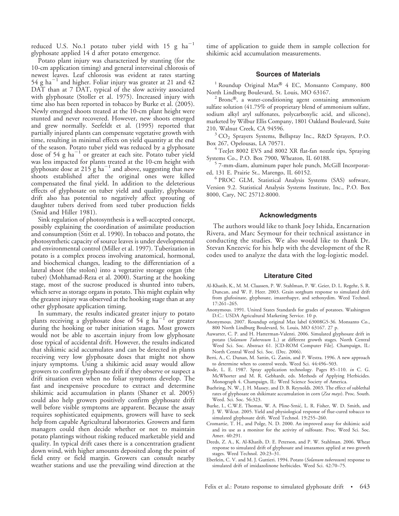reduced U.S. No.1 potato tuber yield with  $15 \text{ g ha}^{-1}$ glyphosate applied 14 d after potato emergence.

Potato plant injury was characterized by stunting (for the 10-cm application timing) and general interveinal chlorosis of newest leaves. Leaf chlorosis was evident at rates starting 54 g ha<sup>-1</sup> and higher. Foliar injury was greater at 21 and  $42$ DAT than at 7 DAT, typical of the slow activity associated with glyphosate (Stoller et al. 1975). Increased injury with time also has been reported in tobacco by Burke et al. (2005). Newly emerged shoots treated at the 10-cm plant height were stunted and never recovered. However, new shoots emerged and grew normally. Seefeldt et al. (1995) reported that partially injured plants can compensate vegetative growth with time, resulting in minimal effects on yield quantity at the end of the season. Potato tuber yield was reduced by a glyphosate dose of 54 g ha<sup> $-1$ </sup> or greater at each site. Potato tuber yield was less impacted for plants treated at the 10-cm height with glyphosate dose at 215 g  $ha^{-1}$  and above, suggesting that new shoots established after the original ones were killed compensated the final yield. In addition to the deleterious effects of glyphosate on tuber yield and quality, glyphosate drift also has potential to negatively affect sprouting of daughter tubers derived from seed tuber production fields (Smid and Hiller 1981).

Sink regulation of photosynthesis is a well-accepted concept, possibly explaining the coordination of assimilate production and consumption (Stitt et al. 1990). In tobacco and potato, the photosynthetic capacity of source leaves is under developmental and environmental control (Miller et al. 1997). Tuberization in potato is a complex process involving anatomical, hormonal, and biochemical changes, leading to the differentiation of a lateral shoot (the stolon) into a vegetative storage organ (the tuber) (Mohhamad-Reza et al. 2000). Starting at the hooking stage, most of the sucrose produced is shunted into tubers, which serve as storage organs in potato. This might explain why the greatest injury was observed at the hooking stage than at any other glyphosate application timing.

In summary, the results indicated greater injury to potato plants receiving a glyphosate dose of 54 g  $ha^{-1}$  or greater during the hooking or tuber initiation stages. Most growers would not be able to ascertain injury from low glyphosate dose typical of accidental drift. However, the results indicated that shikimic acid accumulates and can be detected in plants receiving very low glyphosate doses that might not show injury symptoms. Using a shikimic acid assay would allow growers to confirm glyphosate drift if they observe or suspect a drift situation even when no foliar symptoms develop. The fast and inexpensive procedure to extract and determine shikimic acid accumulation in plants (Shaner et al. 2005) could also help growers positively confirm glyphosate drift well before visible symptoms are apparent. Because the assay requires sophisticated equipments, growers will have to seek help from capable Agricultural laboratories. Growers and farm managers could then decide whether or not to maintain potato plantings without risking reduced marketable yield and quality. In typical drift cases there is a concentration gradient down wind, with higher amounts deposited along the point of field entry or field margin. Growers can consult nearby weather stations and use the prevailing wind direction at the time of application to guide them in sample collection for shikimic acid accumulation measurements.

## Sources of Materials

<sup>1</sup> Roundup Original Max<sup>®</sup> 4 EC, Monsanto Company, 800

North Lindburg Boulevard, St. Louis, MO 63167.<br><sup>2</sup> Bronc®, a water-conditioning agent containing ammonium sulfate solution (41.75% of proprietary blend of ammonium sulfate, sodium alkyl aryl sulfonates, polycarboxylic acid, and silicone), marketed by Wilbur Ellis Company, 1801 Oakland Boulevard, Suite

 $3$  CO<sub>2</sub> Sprayers Systems, Bellspray Inc., R&D Sprayers, P.O. Box 267, Opelousas, LA 70571.

<sup>4</sup> TeeJet 8002 EVS and 8002 XR flat-fan nozzle tips, Spraying Systems Co., P.O. Box 7900, Wheaton, IL 60188.

 $5$  7-mm-diam, aluminum paper hole punch, McGill Incorporated, 131 E. Prairie St., Marengo, IL 60152.

<sup>6</sup> PROC GLM, Statistical Analysis Systems (SAS) software, Version 9.2. Statistical Analysis Systems Institute, Inc., P.O. Box 8000, Cary, NC 25712-8000.

# Acknowledgments

The authors would like to thank Joey Ishida, Encarnation Rivera, and Marc Seymour for their technical assistance in conducting the studies. We also would like to thank Dr. Stevan Knezevic for his help with the development of the R codes used to analyze the data with the log-logistic model.

## Literature Cited

- Al-Khatib, K., M. M. Claassen, P. W. Stahlman, P. W. Geier, D. L. Regehr, S. R. Duncan, and W. F. Heer. 2003. Grain sorghum response to simulated drift from glufosinate, glyphosate, imazethapyr, and sethoxydim. Weed Technol. 17:261–265.
- Anonymous. 1991. United States Standards for grades of potatoes. Washington D.C.: USDA Agricultural Marketing Service. 10 p.
- Anonymous. 2007. Roundup original Max label 63008G5-36. Monsanto Co., 800 North Lindburg Boulevard, St. Louis, MO 63167. 27 p.
- Auwarter, C. P. and H. Hatterman-Valenti. 2006. Simulated glyphosate drift in potato (Solanum Tuberosum L.) at different growth stages. North Central Weed Sci. Soc. Abstract 61. [CD-ROM Computer File]. Champaign, IL: North Central Weed Sci. Soc. (Dec. 2006).
- Berti, A., C. Dunan, M. Sattin, G. Zanin, and P. Westra. 1996. A new approach to determine when to control weeds. Weed Sci. 44:496–503.
- Bode, L. E. 1987. Spray application technology. Pages 85–110. in C. G. McWhorter and M. R. Gebhardt, eds. Methods of Applying Herbicides. Monograph 4. Champaign, IL: Weed Science Society of America.
- Buehring, N. W., J. H. Massey, and D. B. Reynolds. 2003. The effect of sublethal rates of glyphosate on shikimate accumulation in corn (Zea mays). Proc. South. Weed. Sci. Soc. 56:323.
- Burke, I., C.W.E. Thomas, W. A. Pline-Srnić, L. R. Fisher, W. D. Smith, and J. W. Wilcut. 2005. Yield and physiological response of flue-cured tobacco to simulated glyphosate drift. Weed Technol. 19:255–260.
- Cromartie, T. H., and Polge, N. D. 2000. An improved assay for shikimic acid and its use as a monitor for the activity of sulfosate. Proc. Weed Sci. Soc. Amer. 40:291.
- Deeds, Z. A., K. Al-Khatib, D. E. Peterson, and P. W. Stahlman. 2006. Wheat response to simulated drift of glyphosate and imazamox applied at two growth stages. Weed Technol. 20:23–31.
- Eberlein, C. V. and M. J. Guttieri. 1994. Potato (Solanum tuberosum) response to simulated drift of imidazolinone herbicides. Weed Sci. 42:70–75.